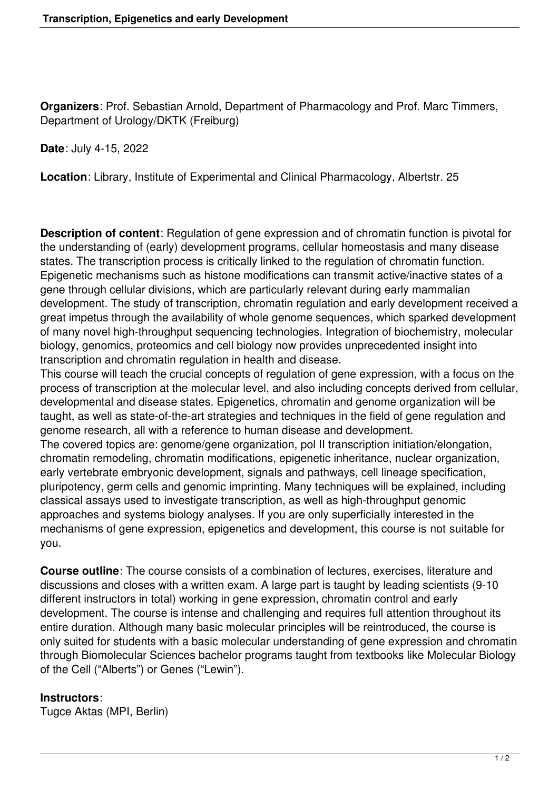**Organizers**: Prof. Sebastian Arnold, Department of Pharmacology and Prof. Marc Timmers, Department of Urology/DKTK (Freiburg)

**Date**: July 4-15, 2022

**Location**: Library, Institute of Experimental and Clinical Pharmacology, Albertstr. 25

**Description of content**: Regulation of gene expression and of chromatin function is pivotal for the understanding of (early) development programs, cellular homeostasis and many disease states. The transcription process is critically linked to the regulation of chromatin function. Epigenetic mechanisms such as histone modifications can transmit active/inactive states of a gene through cellular divisions, which are particularly relevant during early mammalian development. The study of transcription, chromatin regulation and early development received a great impetus through the availability of whole genome sequences, which sparked development of many novel high-throughput sequencing technologies. Integration of biochemistry, molecular biology, genomics, proteomics and cell biology now provides unprecedented insight into transcription and chromatin regulation in health and disease.

This course will teach the crucial concepts of regulation of gene expression, with a focus on the process of transcription at the molecular level, and also including concepts derived from cellular, developmental and disease states. Epigenetics, chromatin and genome organization will be taught, as well as state-of-the-art strategies and techniques in the field of gene regulation and genome research, all with a reference to human disease and development.

The covered topics are: genome/gene organization, pol II transcription initiation/elongation, chromatin remodeling, chromatin modifications, epigenetic inheritance, nuclear organization, early vertebrate embryonic development, signals and pathways, cell lineage specification, pluripotency, germ cells and genomic imprinting. Many techniques will be explained, including classical assays used to investigate transcription, as well as high-throughput genomic approaches and systems biology analyses. If you are only superficially interested in the mechanisms of gene expression, epigenetics and development, this course is not suitable for you.

**Course outline**: The course consists of a combination of lectures, exercises, literature and discussions and closes with a written exam. A large part is taught by leading scientists (9-10 different instructors in total) working in gene expression, chromatin control and early development. The course is intense and challenging and requires full attention throughout its entire duration. Although many basic molecular principles will be reintroduced, the course is only suited for students with a basic molecular understanding of gene expression and chromatin through Biomolecular Sciences bachelor programs taught from textbooks like Molecular Biology of the Cell ("Alberts") or Genes ("Lewin").

## **Instructors**:

Tugce Aktas (MPI, Berlin)